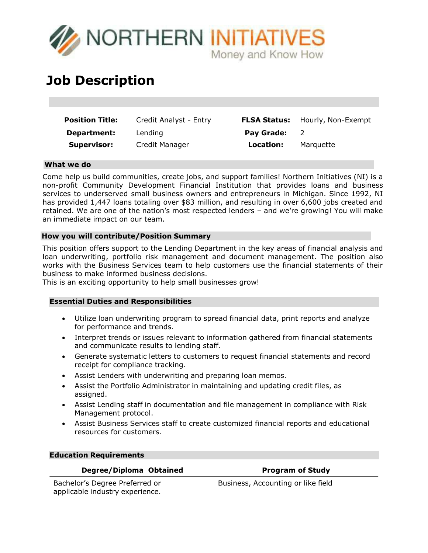

# **Job Description**

| <b>Position Title:</b> | Credit Analyst - Entry |                   | <b>FLSA Status:</b> Hourly, Non-Exempt |
|------------------------|------------------------|-------------------|----------------------------------------|
| <b>Department:</b>     | Lending                | <b>Pay Grade:</b> |                                        |
| <b>Supervisor:</b>     | Credit Manager         | Location:         | Marquette                              |

# **What we do**

Come help us build communities, create jobs, and support families! Northern Initiatives (NI) is a non-profit Community Development Financial Institution that provides loans and business services to underserved small business owners and entrepreneurs in Michigan. Since 1992, NI has provided 1,447 loans totaling over \$83 million, and resulting in over 6,600 jobs created and retained. We are one of the nation's most respected lenders – and we're growing! You will make an immediate impact on our team.

### **How you will contribute/Position Summary**

This position offers support to the Lending Department in the key areas of financial analysis and loan underwriting, portfolio risk management and document management. The position also works with the Business Services team to help customers use the financial statements of their business to make informed business decisions.

This is an exciting opportunity to help small businesses grow!

# **Essential Duties and Responsibilities**

- Utilize loan underwriting program to spread financial data, print reports and analyze for performance and trends.
- Interpret trends or issues relevant to information gathered from financial statements and communicate results to lending staff.
- Generate systematic letters to customers to request financial statements and record receipt for compliance tracking.
- Assist Lenders with underwriting and preparing loan memos.
- Assist the Portfolio Administrator in maintaining and updating credit files, as assigned.
- Assist Lending staff in documentation and file management in compliance with Risk Management protocol.
- Assist Business Services staff to create customized financial reports and educational resources for customers.

#### **Education Requirements**

### **Degree/Diploma Obtained Program** of Study

Bachelor's Degree Preferred or applicable industry experience.

Business, Accounting or like field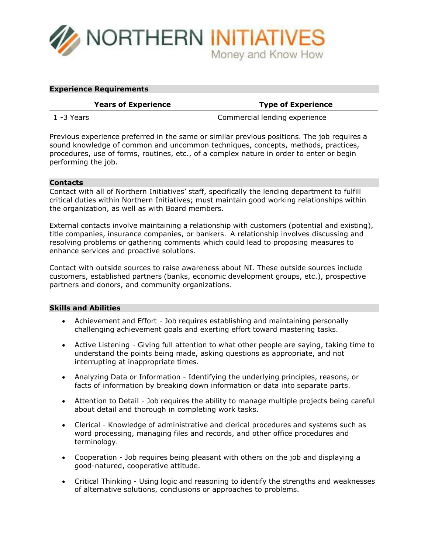

#### **Experience Requirements**

#### **Years of Experience Type of Experience**

1 -3 Years Commercial lending experience

Previous experience preferred in the same or similar previous positions. The job requires a sound knowledge of common and uncommon techniques, concepts, methods, practices, procedures, use of forms, routines, etc., of a complex nature in order to enter or begin performing the job.

# **Contacts**

Contact with all of Northern Initiatives' staff, specifically the lending department to fulfill critical duties within Northern Initiatives; must maintain good working relationships within the organization, as well as with Board members.

External contacts involve maintaining a relationship with customers (potential and existing), title companies, insurance companies, or bankers. A relationship involves discussing and resolving problems or gathering comments which could lead to proposing measures to enhance services and proactive solutions.

Contact with outside sources to raise awareness about NI. These outside sources include customers, established partners (banks, economic development groups, etc.), prospective partners and donors, and community organizations.

#### **Skills and Abilities**

- Achievement and Effort Job requires establishing and maintaining personally challenging achievement goals and exerting effort toward mastering tasks.
- Active Listening Giving full attention to what other people are saying, taking time to understand the points being made, asking questions as appropriate, and not interrupting at inappropriate times.
- Analyzing Data or Information Identifying the underlying principles, reasons, or facts of information by breaking down information or data into separate parts.
- Attention to Detail Job requires the ability to manage multiple projects being careful about detail and thorough in completing work tasks.
- Clerical Knowledge of administrative and clerical procedures and systems such as word processing, managing files and records, and other office procedures and terminology.
- Cooperation Job requires being pleasant with others on the job and displaying a good-natured, cooperative attitude.
- Critical Thinking Using logic and reasoning to identify the strengths and weaknesses of alternative solutions, conclusions or approaches to problems.